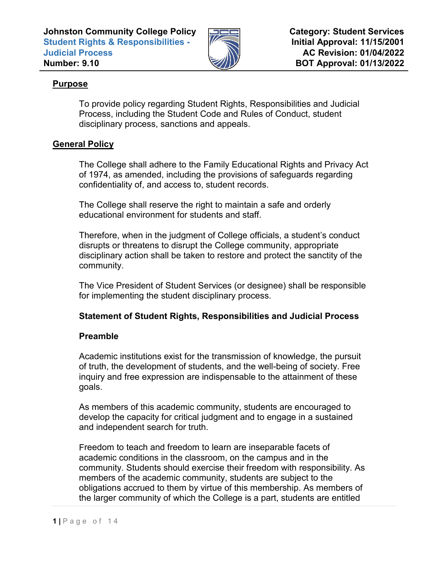

# **Purpose**

To provide policy regarding Student Rights, Responsibilities and Judicial Process, including the Student Code and Rules of Conduct, student disciplinary process, sanctions and appeals.

# **General Policy**

The College shall adhere to the Family Educational Rights and Privacy Act of 1974, as amended, including the provisions of safeguards regarding confidentiality of, and access to, student records.

The College shall reserve the right to maintain a safe and orderly educational environment for students and staff.

Therefore, when in the judgment of College officials, a student's conduct disrupts or threatens to disrupt the College community, appropriate disciplinary action shall be taken to restore and protect the sanctity of the community.

The Vice President of Student Services (or designee) shall be responsible for implementing the student disciplinary process.

# **Statement of Student Rights, Responsibilities and Judicial Process**

# **Preamble**

Academic institutions exist for the transmission of knowledge, the pursuit of truth, the development of students, and the well-being of society. Free inquiry and free expression are indispensable to the attainment of these goals.

As members of this academic community, students are encouraged to develop the capacity for critical judgment and to engage in a sustained and independent search for truth.

Freedom to teach and freedom to learn are inseparable facets of academic conditions in the classroom, on the campus and in the community. Students should exercise their freedom with responsibility. As members of the academic community, students are subject to the obligations accrued to them by virtue of this membership. As members of the larger community of which the College is a part, students are entitled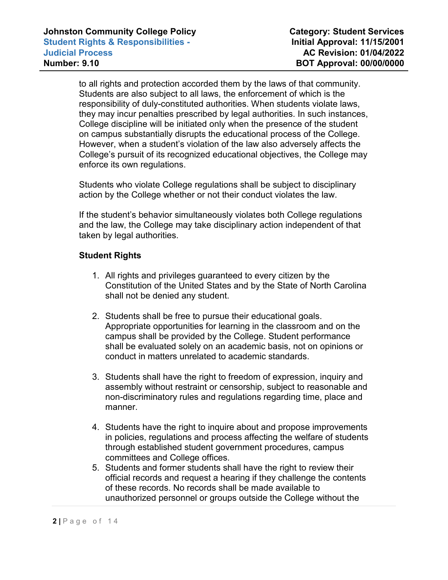to all rights and protection accorded them by the laws of that community. Students are also subject to all laws, the enforcement of which is the responsibility of duly-constituted authorities. When students violate laws, they may incur penalties prescribed by legal authorities. In such instances, College discipline will be initiated only when the presence of the student on campus substantially disrupts the educational process of the College. However, when a student's violation of the law also adversely affects the College's pursuit of its recognized educational objectives, the College may enforce its own regulations.

Students who violate College regulations shall be subject to disciplinary action by the College whether or not their conduct violates the law.

If the student's behavior simultaneously violates both College regulations and the law, the College may take disciplinary action independent of that taken by legal authorities.

# **Student Rights**

- 1. All rights and privileges guaranteed to every citizen by the Constitution of the United States and by the State of North Carolina shall not be denied any student.
- 2. Students shall be free to pursue their educational goals. Appropriate opportunities for learning in the classroom and on the campus shall be provided by the College. Student performance shall be evaluated solely on an academic basis, not on opinions or conduct in matters unrelated to academic standards.
- 3. Students shall have the right to freedom of expression, inquiry and assembly without restraint or censorship, subject to reasonable and non-discriminatory rules and regulations regarding time, place and manner.
- 4. Students have the right to inquire about and propose improvements in policies, regulations and process affecting the welfare of students through established student government procedures, campus committees and College offices.
- 5. Students and former students shall have the right to review their official records and request a hearing if they challenge the contents of these records. No records shall be made available to unauthorized personnel or groups outside the College without the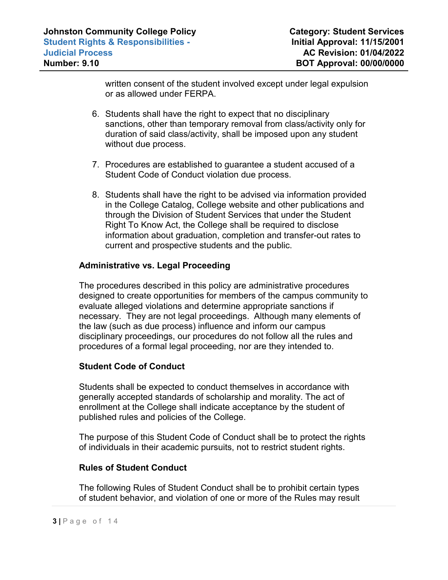written consent of the student involved except under legal expulsion or as allowed under FERPA.

- 6. Students shall have the right to expect that no disciplinary sanctions, other than temporary removal from class/activity only for duration of said class/activity, shall be imposed upon any student without due process.
- 7. Procedures are established to guarantee a student accused of a Student Code of Conduct violation due process.
- 8. Students shall have the right to be advised via information provided in the College Catalog, College website and other publications and through the Division of Student Services that under the Student Right To Know Act, the College shall be required to disclose information about graduation, completion and transfer-out rates to current and prospective students and the public.

## **Administrative vs. Legal Proceeding**

The procedures described in this policy are administrative procedures designed to create opportunities for members of the campus community to evaluate alleged violations and determine appropriate sanctions if necessary. They are not legal proceedings. Although many elements of the law (such as due process) influence and inform our campus disciplinary proceedings, our procedures do not follow all the rules and procedures of a formal legal proceeding, nor are they intended to.

## **Student Code of Conduct**

Students shall be expected to conduct themselves in accordance with generally accepted standards of scholarship and morality. The act of enrollment at the College shall indicate acceptance by the student of published rules and policies of the College.

The purpose of this Student Code of Conduct shall be to protect the rights of individuals in their academic pursuits, not to restrict student rights.

## **Rules of Student Conduct**

The following Rules of Student Conduct shall be to prohibit certain types of student behavior, and violation of one or more of the Rules may result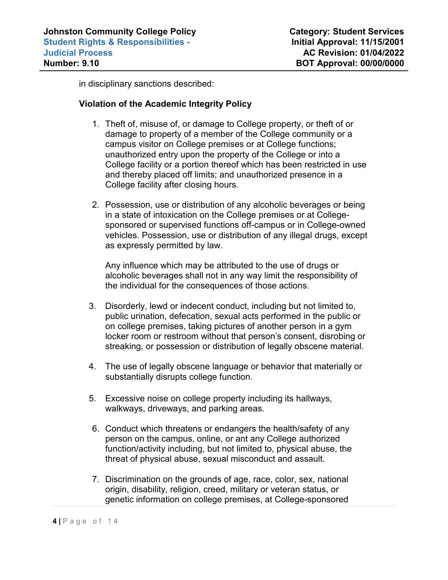in disciplinary sanctions described:

## **Violation of the Academic Integrity Policy**

- 1. Theft of, misuse of, or damage to College property, or theft of or damage to property of a member of the College community or a campus visitor on College premises or at College functions; unauthorized entry upon the property of the College or into a College facility or a portion thereof which has been restricted in use and thereby placed off limits; and unauthorized presence in a College facility after closing hours.
- 2. Possession, use or distribution of any alcoholic beverages or being in a state of intoxication on the College premises or at Collegesponsored or supervised functions off-campus or in College-owned vehicles. Possession, use or distribution of any illegal drugs, except as expressly permitted by law.

Any influence which may be attributed to the use of drugs or alcoholic beverages shall not in any way limit the responsibility of the individual for the consequences of those actions.

- 3. Disorderly, lewd or indecent conduct, including but not limited to, public urination, defecation, sexual acts performed in the public or on college premises, taking pictures of another person in a gym locker room or restroom without that person's consent, disrobing or streaking, or possession or distribution of legally obscene material.
- 4. The use of legally obscene language or behavior that materially or substantially disrupts college function.
- 5. Excessive noise on college property including its hallways, walkways, driveways, and parking areas.
- 6. Conduct which threatens or endangers the health/safety of any person on the campus, online, or ant any College authorized function/activity including, but not limited to, physical abuse, the threat of physical abuse, sexual misconduct and assault.
- 7. Discrimination on the grounds of age, race, color, sex, national origin, disability, religion, creed, military or veteran status, or genetic information on college premises, at College-sponsored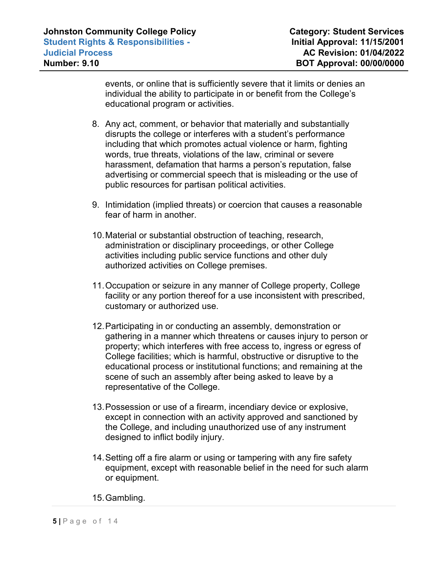events, or online that is sufficiently severe that it limits or denies an individual the ability to participate in or benefit from the College's educational program or activities.

- 8. Any act, comment, or behavior that materially and substantially disrupts the college or interferes with a student's performance including that which promotes actual violence or harm, fighting words, true threats, violations of the law, criminal or severe harassment, defamation that harms a person's reputation, false advertising or commercial speech that is misleading or the use of public resources for partisan political activities.
- 9. Intimidation (implied threats) or coercion that causes a reasonable fear of harm in another.
- 10.Material or substantial obstruction of teaching, research, administration or disciplinary proceedings, or other College activities including public service functions and other duly authorized activities on College premises.
- 11.Occupation or seizure in any manner of College property, College facility or any portion thereof for a use inconsistent with prescribed, customary or authorized use.
- 12.Participating in or conducting an assembly, demonstration or gathering in a manner which threatens or causes injury to person or property; which interferes with free access to, ingress or egress of College facilities; which is harmful, obstructive or disruptive to the educational process or institutional functions; and remaining at the scene of such an assembly after being asked to leave by a representative of the College.
- 13.Possession or use of a firearm, incendiary device or explosive, except in connection with an activity approved and sanctioned by the College, and including unauthorized use of any instrument designed to inflict bodily injury.
- 14.Setting off a fire alarm or using or tampering with any fire safety equipment, except with reasonable belief in the need for such alarm or equipment.
- 15.Gambling.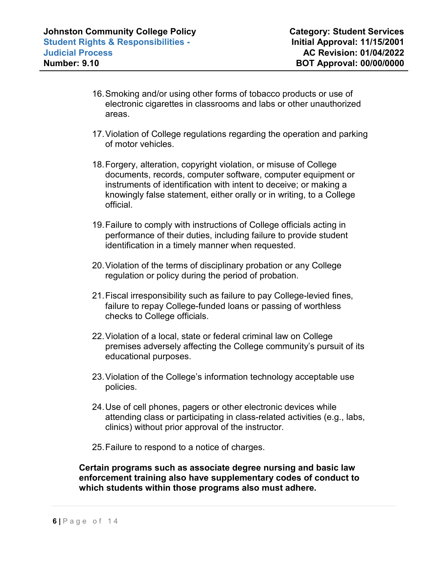- 16.Smoking and/or using other forms of tobacco products or use of electronic cigarettes in classrooms and labs or other unauthorized areas.
- 17.Violation of College regulations regarding the operation and parking of motor vehicles.
- 18.Forgery, alteration, copyright violation, or misuse of College documents, records, computer software, computer equipment or instruments of identification with intent to deceive; or making a knowingly false statement, either orally or in writing, to a College official.
- 19.Failure to comply with instructions of College officials acting in performance of their duties, including failure to provide student identification in a timely manner when requested.
- 20.Violation of the terms of disciplinary probation or any College regulation or policy during the period of probation.
- 21.Fiscal irresponsibility such as failure to pay College-levied fines, failure to repay College-funded loans or passing of worthless checks to College officials.
- 22.Violation of a local, state or federal criminal law on College premises adversely affecting the College community's pursuit of its educational purposes.
- 23.Violation of the College's information technology acceptable use policies.
- 24.Use of cell phones, pagers or other electronic devices while attending class or participating in class-related activities (e.g., labs, clinics) without prior approval of the instructor.
- 25.Failure to respond to a notice of charges.

**Certain programs such as associate degree nursing and basic law enforcement training also have supplementary codes of conduct to which students within those programs also must adhere.**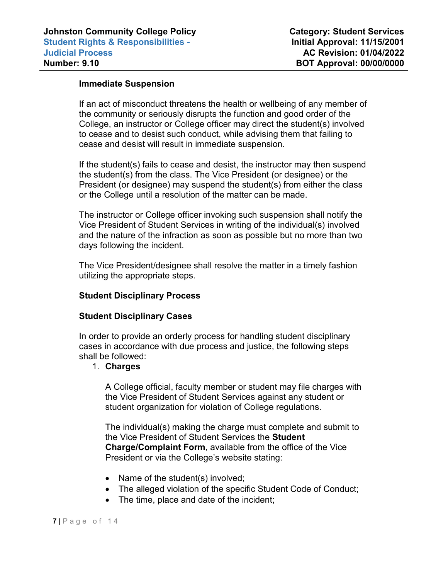## **Immediate Suspension**

If an act of misconduct threatens the health or wellbeing of any member of the community or seriously disrupts the function and good order of the College, an instructor or College officer may direct the student(s) involved to cease and to desist such conduct, while advising them that failing to cease and desist will result in immediate suspension.

If the student(s) fails to cease and desist, the instructor may then suspend the student(s) from the class. The Vice President (or designee) or the President (or designee) may suspend the student(s) from either the class or the College until a resolution of the matter can be made.

The instructor or College officer invoking such suspension shall notify the Vice President of Student Services in writing of the individual(s) involved and the nature of the infraction as soon as possible but no more than two days following the incident.

The Vice President/designee shall resolve the matter in a timely fashion utilizing the appropriate steps.

## **Student Disciplinary Process**

#### **Student Disciplinary Cases**

In order to provide an orderly process for handling student disciplinary cases in accordance with due process and justice, the following steps shall be followed:

#### 1. **Charges**

A College official, faculty member or student may file charges with the Vice President of Student Services against any student or student organization for violation of College regulations.

The individual(s) making the charge must complete and submit to the Vice President of Student Services the **Student Charge/Complaint Form**, available from the office of the Vice President or via the College's website stating:

- Name of the student(s) involved;
- The alleged violation of the specific Student Code of Conduct;
- The time, place and date of the incident;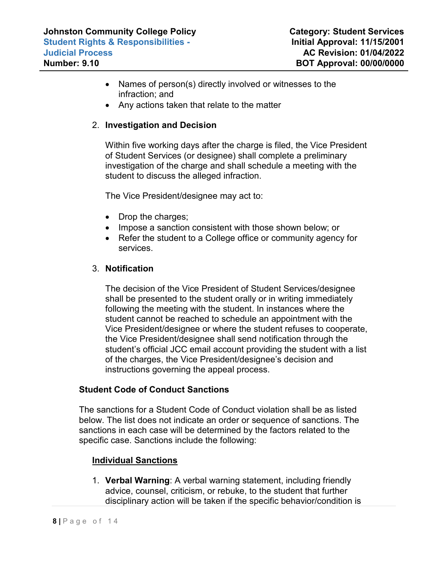- Names of person(s) directly involved or witnesses to the infraction; and
- Any actions taken that relate to the matter

# 2. **Investigation and Decision**

Within five working days after the charge is filed, the Vice President of Student Services (or designee) shall complete a preliminary investigation of the charge and shall schedule a meeting with the student to discuss the alleged infraction.

The Vice President/designee may act to:

- Drop the charges;
- Impose a sanction consistent with those shown below; or
- Refer the student to a College office or community agency for services.

# 3. **Notification**

The decision of the Vice President of Student Services/designee shall be presented to the student orally or in writing immediately following the meeting with the student. In instances where the student cannot be reached to schedule an appointment with the Vice President/designee or where the student refuses to cooperate, the Vice President/designee shall send notification through the student's official JCC email account providing the student with a list of the charges, the Vice President/designee's decision and instructions governing the appeal process.

# **Student Code of Conduct Sanctions**

The sanctions for a Student Code of Conduct violation shall be as listed below. The list does not indicate an order or sequence of sanctions. The sanctions in each case will be determined by the factors related to the specific case. Sanctions include the following:

# **Individual Sanctions**

1. **Verbal Warning**: A verbal warning statement, including friendly advice, counsel, criticism, or rebuke, to the student that further disciplinary action will be taken if the specific behavior/condition is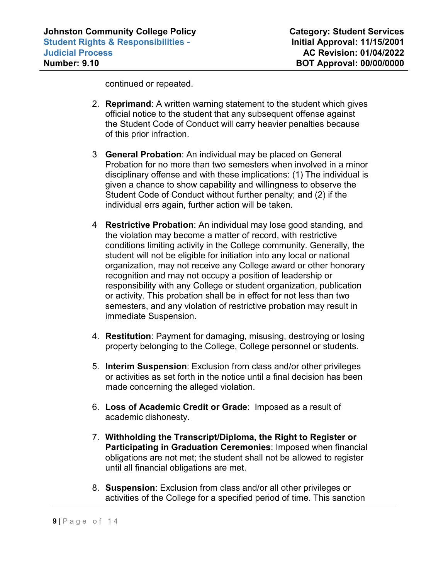continued or repeated.

- 2. **Reprimand**: A written warning statement to the student which gives official notice to the student that any subsequent offense against the Student Code of Conduct will carry heavier penalties because of this prior infraction.
- 3 **General Probation**: An individual may be placed on General Probation for no more than two semesters when involved in a minor disciplinary offense and with these implications: (1) The individual is given a chance to show capability and willingness to observe the Student Code of Conduct without further penalty; and (2) if the individual errs again, further action will be taken.
- 4 **Restrictive Probation**: An individual may lose good standing, and the violation may become a matter of record, with restrictive conditions limiting activity in the College community. Generally, the student will not be eligible for initiation into any local or national organization, may not receive any College award or other honorary recognition and may not occupy a position of leadership or responsibility with any College or student organization, publication or activity. This probation shall be in effect for not less than two semesters, and any violation of restrictive probation may result in immediate Suspension.
- 4. **Restitution**: Payment for damaging, misusing, destroying or losing property belonging to the College, College personnel or students.
- 5. **Interim Suspension**: Exclusion from class and/or other privileges or activities as set forth in the notice until a final decision has been made concerning the alleged violation.
- 6. **Loss of Academic Credit or Grade**: Imposed as a result of academic dishonesty.
- 7. **Withholding the Transcript/Diploma, the Right to Register or Participating in Graduation Ceremonies**: Imposed when financial obligations are not met; the student shall not be allowed to register until all financial obligations are met.
- 8. **Suspension**: Exclusion from class and/or all other privileges or activities of the College for a specified period of time. This sanction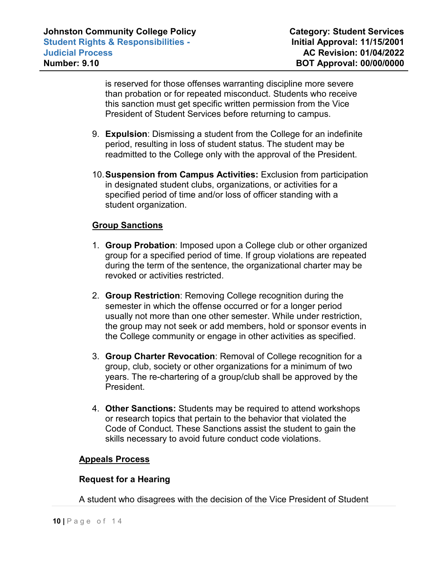is reserved for those offenses warranting discipline more severe than probation or for repeated misconduct. Students who receive this sanction must get specific written permission from the Vice President of Student Services before returning to campus.

- 9. **Expulsion**: Dismissing a student from the College for an indefinite period, resulting in loss of student status. The student may be readmitted to the College only with the approval of the President.
- 10.**Suspension from Campus Activities:** Exclusion from participation in designated student clubs, organizations, or activities for a specified period of time and/or loss of officer standing with a student organization.

# **Group Sanctions**

- 1. **Group Probation**: Imposed upon a College club or other organized group for a specified period of time. If group violations are repeated during the term of the sentence, the organizational charter may be revoked or activities restricted.
- 2. **Group Restriction**: Removing College recognition during the semester in which the offense occurred or for a longer period usually not more than one other semester. While under restriction, the group may not seek or add members, hold or sponsor events in the College community or engage in other activities as specified.
- 3. **Group Charter Revocation**: Removal of College recognition for a group, club, society or other organizations for a minimum of two years. The re-chartering of a group/club shall be approved by the President.
- 4. **Other Sanctions:** Students may be required to attend workshops or research topics that pertain to the behavior that violated the Code of Conduct. These Sanctions assist the student to gain the skills necessary to avoid future conduct code violations.

## **Appeals Process**

## **Request for a Hearing**

A student who disagrees with the decision of the Vice President of Student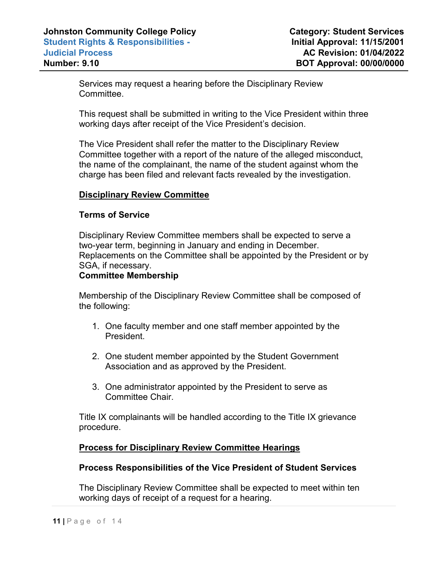Services may request a hearing before the Disciplinary Review Committee.

This request shall be submitted in writing to the Vice President within three working days after receipt of the Vice President's decision.

The Vice President shall refer the matter to the Disciplinary Review Committee together with a report of the nature of the alleged misconduct, the name of the complainant, the name of the student against whom the charge has been filed and relevant facts revealed by the investigation.

### **Disciplinary Review Committee**

### **Terms of Service**

Disciplinary Review Committee members shall be expected to serve a two-year term, beginning in January and ending in December. Replacements on the Committee shall be appointed by the President or by SGA, if necessary.

### **Committee Membership**

Membership of the Disciplinary Review Committee shall be composed of the following:

- 1. One faculty member and one staff member appointed by the President.
- 2. One student member appointed by the Student Government Association and as approved by the President.
- 3. One administrator appointed by the President to serve as Committee Chair.

Title IX complainants will be handled according to the Title IX grievance procedure.

## **Process for Disciplinary Review Committee Hearings**

## **Process Responsibilities of the Vice President of Student Services**

The Disciplinary Review Committee shall be expected to meet within ten working days of receipt of a request for a hearing.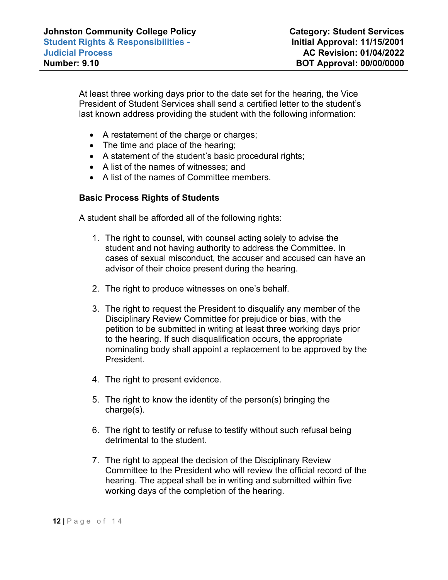At least three working days prior to the date set for the hearing, the Vice President of Student Services shall send a certified letter to the student's last known address providing the student with the following information:

- A restatement of the charge or charges;
- The time and place of the hearing;
- A statement of the student's basic procedural rights;
- A list of the names of witnesses; and
- A list of the names of Committee members.

# **Basic Process Rights of Students**

A student shall be afforded all of the following rights:

- 1. The right to counsel, with counsel acting solely to advise the student and not having authority to address the Committee. In cases of sexual misconduct, the accuser and accused can have an advisor of their choice present during the hearing.
- 2. The right to produce witnesses on one's behalf.
- 3. The right to request the President to disqualify any member of the Disciplinary Review Committee for prejudice or bias, with the petition to be submitted in writing at least three working days prior to the hearing. If such disqualification occurs, the appropriate nominating body shall appoint a replacement to be approved by the President.
- 4. The right to present evidence.
- 5. The right to know the identity of the person(s) bringing the charge(s).
- 6. The right to testify or refuse to testify without such refusal being detrimental to the student.
- 7. The right to appeal the decision of the Disciplinary Review Committee to the President who will review the official record of the hearing. The appeal shall be in writing and submitted within five working days of the completion of the hearing.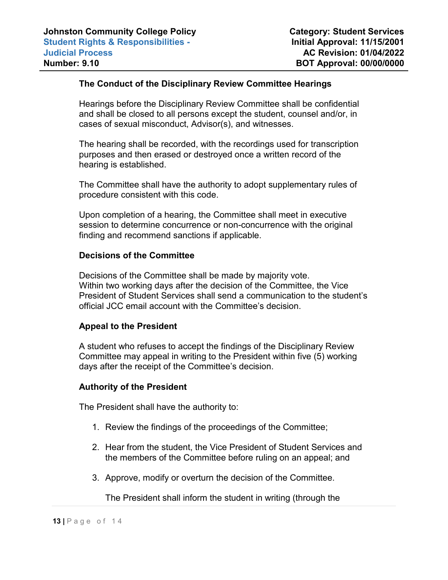# **The Conduct of the Disciplinary Review Committee Hearings**

Hearings before the Disciplinary Review Committee shall be confidential and shall be closed to all persons except the student, counsel and/or, in cases of sexual misconduct, Advisor(s), and witnesses.

The hearing shall be recorded, with the recordings used for transcription purposes and then erased or destroyed once a written record of the hearing is established.

The Committee shall have the authority to adopt supplementary rules of procedure consistent with this code.

Upon completion of a hearing, the Committee shall meet in executive session to determine concurrence or non-concurrence with the original finding and recommend sanctions if applicable.

### **Decisions of the Committee**

Decisions of the Committee shall be made by majority vote. Within two working days after the decision of the Committee, the Vice President of Student Services shall send a communication to the student's official JCC email account with the Committee's decision.

## **Appeal to the President**

A student who refuses to accept the findings of the Disciplinary Review Committee may appeal in writing to the President within five (5) working days after the receipt of the Committee's decision.

#### **Authority of the President**

The President shall have the authority to:

- 1. Review the findings of the proceedings of the Committee;
- 2. Hear from the student, the Vice President of Student Services and the members of the Committee before ruling on an appeal; and
- 3. Approve, modify or overturn the decision of the Committee.

The President shall inform the student in writing (through the